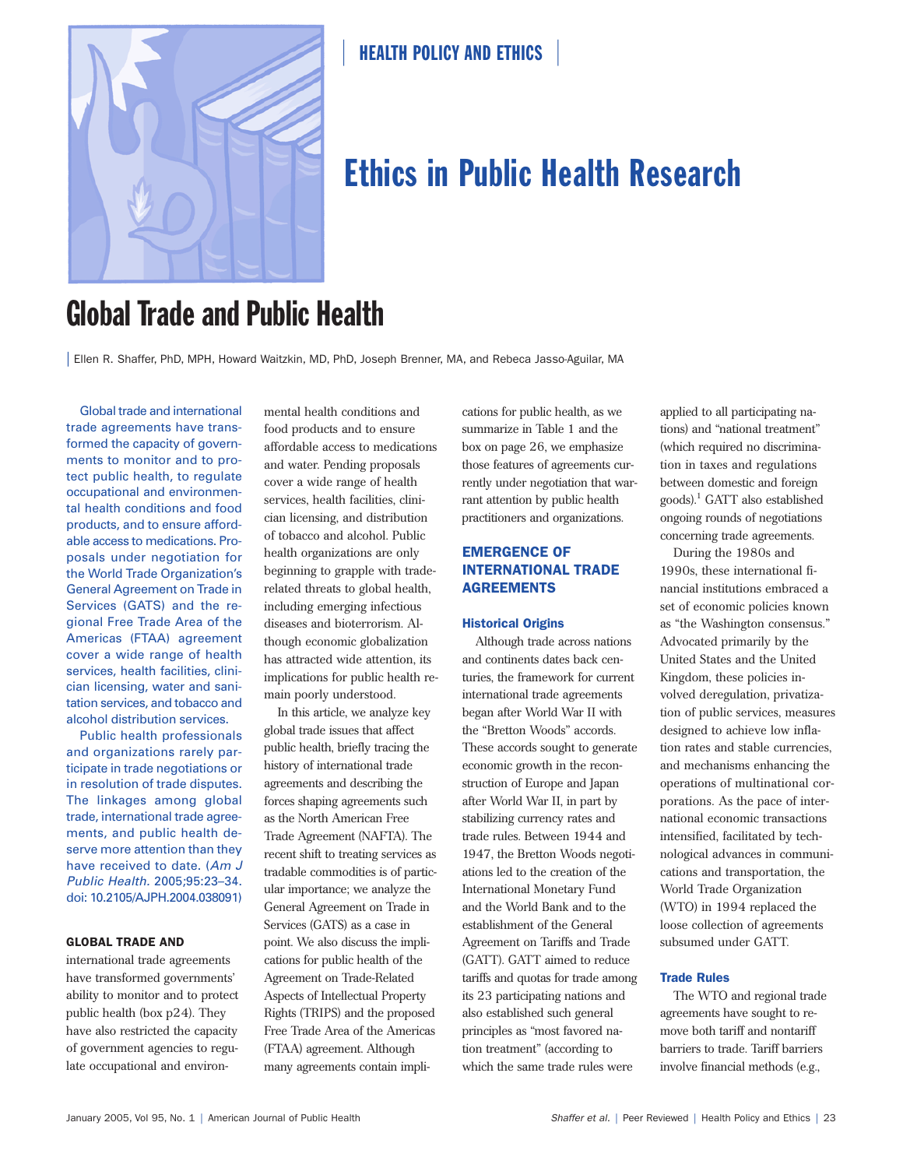

# Ethics in Public Health Research

# Global Trade and Public Health

| Ellen R. Shaffer, PhD, MPH, Howard Waitzkin, MD, PhD, Joseph Brenner, MA, and Rebeca Jasso-Aguilar, MA

Global trade and international trade agreements have transformed the capacity of governments to monitor and to protect public health, to regulate occupational and environmental health conditions and food products, and to ensure affordable access to medications. Proposals under negotiation for the World Trade Organization's General Agreement on Trade in Services (GATS) and the regional Free Trade Area of the Americas (FTAA) agreement cover a wide range of health services, health facilities, clinician licensing, water and sanitation services, and tobacco and alcohol distribution services.

Public health professionals and organizations rarely participate in trade negotiations or in resolution of trade disputes. The linkages among global trade, international trade agreements, and public health deserve more attention than they have received to date. (*Am J Public Health.* 2005;95:23–34. doi: 10.2105/AJPH.2004.038091)

#### GLOBAL TRADE AND

international trade agreements have transformed governments' ability to monitor and to protect public health (box p24). They have also restricted the capacity of government agencies to regulate occupational and environ-

mental health conditions and food products and to ensure affordable access to medications and water. Pending proposals cover a wide range of health services, health facilities, clinician licensing, and distribution of tobacco and alcohol. Public health organizations are only beginning to grapple with traderelated threats to global health, including emerging infectious diseases and bioterrorism. Although economic globalization has attracted wide attention, its implications for public health remain poorly understood.

In this article, we analyze key global trade issues that affect public health, briefly tracing the history of international trade agreements and describing the forces shaping agreements such as the North American Free Trade Agreement (NAFTA). The recent shift to treating services as tradable commodities is of particular importance; we analyze the General Agreement on Trade in Services (GATS) as a case in point. We also discuss the implications for public health of the Agreement on Trade-Related Aspects of Intellectual Property Rights (TRIPS) and the proposed Free Trade Area of the Americas (FTAA) agreement. Although many agreements contain implications for public health, as we summarize in Table 1 and the box on page 26, we emphasize those features of agreements currently under negotiation that warrant attention by public health practitioners and organizations.

#### EMERGENCE OF INTERNATIONAL TRADE AGREEMENTS

#### Historical Origins

Although trade across nations and continents dates back centuries, the framework for current international trade agreements began after World War II with the "Bretton Woods" accords. These accords sought to generate economic growth in the reconstruction of Europe and Japan after World War II, in part by stabilizing currency rates and trade rules. Between 1944 and 1947, the Bretton Woods negotiations led to the creation of the International Monetary Fund and the World Bank and to the establishment of the General Agreement on Tariffs and Trade (GATT). GATT aimed to reduce tariffs and quotas for trade among its 23 participating nations and also established such general principles as "most favored nation treatment" (according to which the same trade rules were

applied to all participating nations) and "national treatment" (which required no discrimination in taxes and regulations between domestic and foreign  $\text{goods}$ <sup>1</sup> GATT also established ongoing rounds of negotiations concerning trade agreements.

During the 1980s and 1990s, these international financial institutions embraced a set of economic policies known as "the Washington consensus." Advocated primarily by the United States and the United Kingdom, these policies involved deregulation, privatization of public services, measures designed to achieve low inflation rates and stable currencies, and mechanisms enhancing the operations of multinational corporations. As the pace of international economic transactions intensified, facilitated by technological advances in communications and transportation, the World Trade Organization (WTO) in 1994 replaced the loose collection of agreements subsumed under GATT.

#### Trade Rules

The WTO and regional trade agreements have sought to remove both tariff and nontariff barriers to trade. Tariff barriers involve financial methods (e.g.,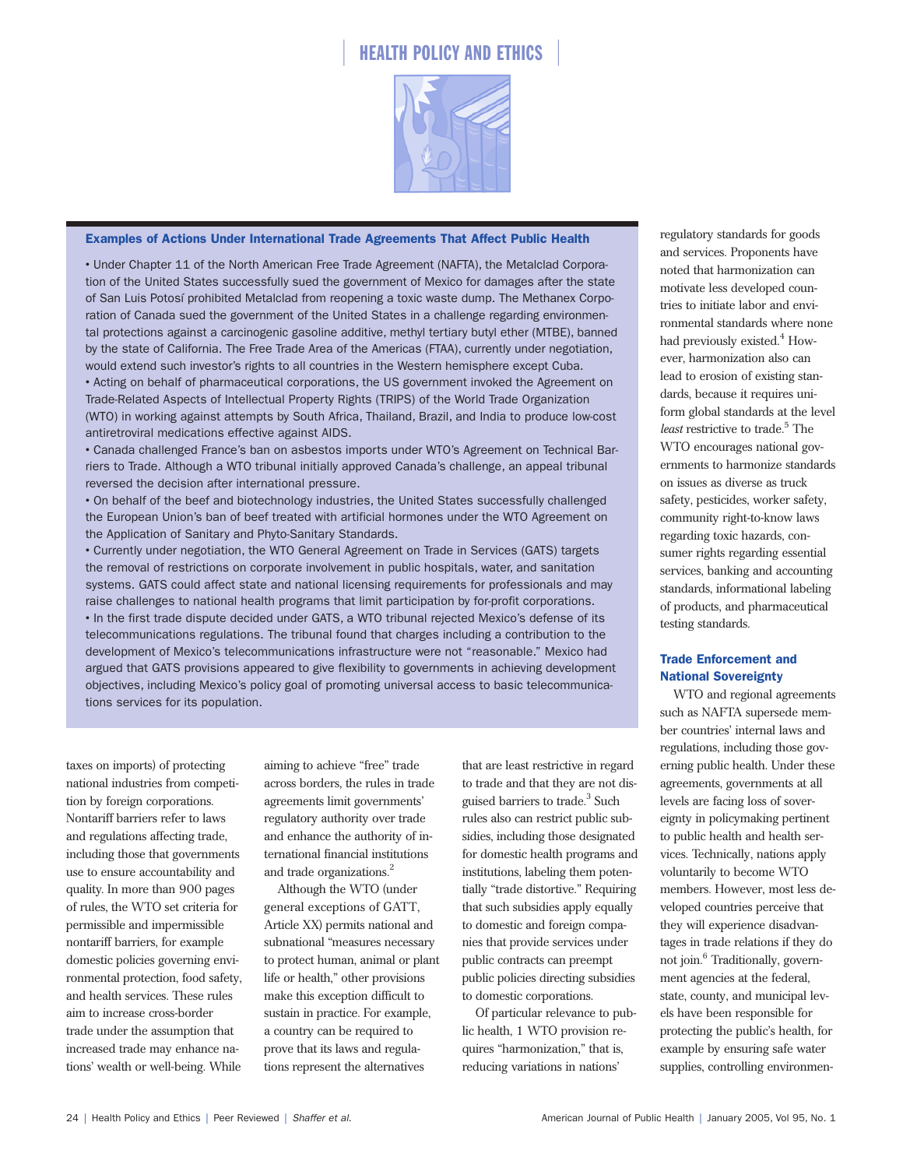

#### Examples of Actions Under International Trade Agreements That Affect Public Health

• Under Chapter 11 of the North American Free Trade Agreement (NAFTA), the Metalclad Corporation of the United States successfully sued the government of Mexico for damages after the state of San Luis Potosí prohibited Metalclad from reopening a toxic waste dump. The Methanex Corporation of Canada sued the government of the United States in a challenge regarding environmental protections against a carcinogenic gasoline additive, methyl tertiary butyl ether (MTBE), banned by the state of California. The Free Trade Area of the Americas (FTAA), currently under negotiation, would extend such investor's rights to all countries in the Western hemisphere except Cuba.

• Acting on behalf of pharmaceutical corporations, the US government invoked the Agreement on Trade-Related Aspects of Intellectual Property Rights (TRIPS) of the World Trade Organization (WTO) in working against attempts by South Africa, Thailand, Brazil, and India to produce low-cost antiretroviral medications effective against AIDS.

• Canada challenged France's ban on asbestos imports under WTO's Agreement on Technical Barriers to Trade. Although a WTO tribunal initially approved Canada's challenge, an appeal tribunal reversed the decision after international pressure.

• On behalf of the beef and biotechnology industries, the United States successfully challenged the European Union's ban of beef treated with artificial hormones under the WTO Agreement on the Application of Sanitary and Phyto-Sanitary Standards.

• Currently under negotiation, the WTO General Agreement on Trade in Services (GATS) targets the removal of restrictions on corporate involvement in public hospitals, water, and sanitation systems. GATS could affect state and national licensing requirements for professionals and may raise challenges to national health programs that limit participation by for-profit corporations.

• In the first trade dispute decided under GATS, a WTO tribunal rejected Mexico's defense of its telecommunications regulations. The tribunal found that charges including a contribution to the development of Mexico's telecommunications infrastructure were not "reasonable." Mexico had argued that GATS provisions appeared to give flexibility to governments in achieving development objectives, including Mexico's policy goal of promoting universal access to basic telecommunications services for its population.

taxes on imports) of protecting national industries from competition by foreign corporations. Nontariff barriers refer to laws and regulations affecting trade, including those that governments use to ensure accountability and quality. In more than 900 pages of rules, the WTO set criteria for permissible and impermissible nontariff barriers, for example domestic policies governing environmental protection, food safety, and health services. These rules aim to increase cross-border trade under the assumption that increased trade may enhance nations' wealth or well-being. While

aiming to achieve "free" trade across borders, the rules in trade agreements limit governments' regulatory authority over trade and enhance the authority of international financial institutions and trade organizations.2

Although the WTO (under general exceptions of GATT, Article XX) permits national and subnational "measures necessary to protect human, animal or plant life or health," other provisions make this exception difficult to sustain in practice. For example, a country can be required to prove that its laws and regulations represent the alternatives

that are least restrictive in regard to trade and that they are not disguised barriers to trade.<sup>3</sup> Such rules also can restrict public subsidies, including those designated for domestic health programs and institutions, labeling them potentially "trade distortive." Requiring that such subsidies apply equally to domestic and foreign companies that provide services under public contracts can preempt public policies directing subsidies to domestic corporations.

Of particular relevance to public health, 1 WTO provision requires "harmonization," that is, reducing variations in nations'

regulatory standards for goods and services. Proponents have noted that harmonization can motivate less developed countries to initiate labor and environmental standards where none had previously existed.<sup>4</sup> However, harmonization also can lead to erosion of existing standards, because it requires uniform global standards at the level *least* restrictive to trade.<sup>5</sup> The WTO encourages national governments to harmonize standards on issues as diverse as truck safety, pesticides, worker safety, community right-to-know laws regarding toxic hazards, consumer rights regarding essential services, banking and accounting standards, informational labeling of products, and pharmaceutical testing standards.

#### Trade Enforcement and National Sovereignty

WTO and regional agreements such as NAFTA supersede member countries' internal laws and regulations, including those governing public health. Under these agreements, governments at all levels are facing loss of sovereignty in policymaking pertinent to public health and health services. Technically, nations apply voluntarily to become WTO members. However, most less developed countries perceive that they will experience disadvantages in trade relations if they do not join.<sup>6</sup> Traditionally, government agencies at the federal, state, county, and municipal levels have been responsible for protecting the public's health, for example by ensuring safe water supplies, controlling environmen-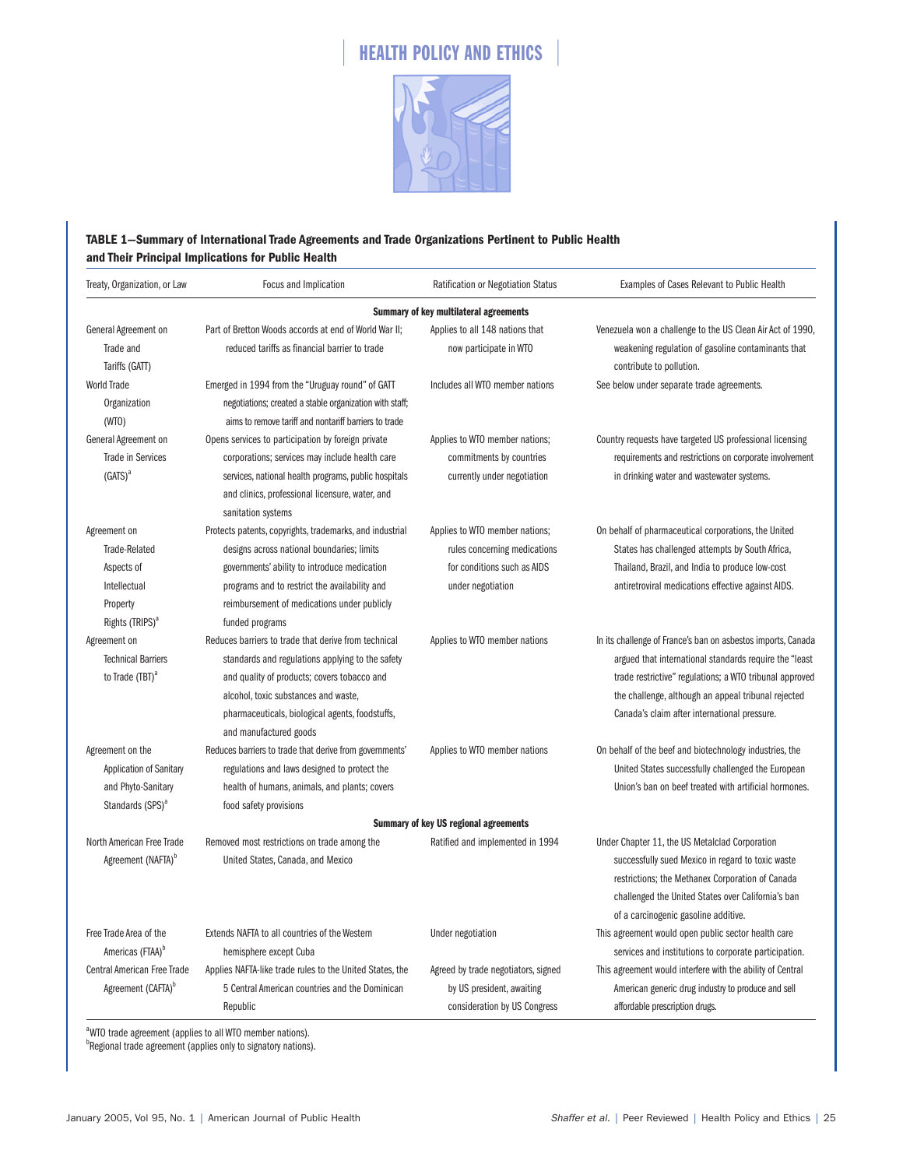

#### **TABLE 1—Summary of International Trade Agreements and Trade Organizations Pertinent to Public Health and Their Principal Implications for Public Health**

| Treaty, Organization, or Law                                                                                  | Focus and Implication                                                                                                                                                                                                                                                        | <b>Ratification or Negotiation Status</b>                                                                          | Examples of Cases Relevant to Public Health                                                                                                                                                                                                                                              |  |  |  |  |
|---------------------------------------------------------------------------------------------------------------|------------------------------------------------------------------------------------------------------------------------------------------------------------------------------------------------------------------------------------------------------------------------------|--------------------------------------------------------------------------------------------------------------------|------------------------------------------------------------------------------------------------------------------------------------------------------------------------------------------------------------------------------------------------------------------------------------------|--|--|--|--|
| Summary of key multilateral agreements                                                                        |                                                                                                                                                                                                                                                                              |                                                                                                                    |                                                                                                                                                                                                                                                                                          |  |  |  |  |
| General Agreement on<br>Trade and<br>Tariffs (GATT)                                                           | Part of Bretton Woods accords at end of World War II;<br>reduced tariffs as financial barrier to trade                                                                                                                                                                       | Applies to all 148 nations that<br>now participate in WTO                                                          | Venezuela won a challenge to the US Clean Air Act of 1990,<br>weakening regulation of gasoline contaminants that<br>contribute to pollution.                                                                                                                                             |  |  |  |  |
| <b>World Trade</b><br>Organization<br>(WTO)                                                                   | Emerged in 1994 from the "Uruguay round" of GATT<br>negotiations; created a stable organization with staff;<br>aims to remove tariff and nontariff barriers to trade                                                                                                         | Includes all WTO member nations                                                                                    | See below under separate trade agreements.                                                                                                                                                                                                                                               |  |  |  |  |
| General Agreement on<br><b>Trade in Services</b><br>$(GATS)^a$                                                | Opens services to participation by foreign private<br>corporations; services may include health care<br>services, national health programs, public hospitals<br>and clinics, professional licensure, water, and<br>sanitation systems                                        | Applies to WTO member nations;<br>commitments by countries<br>currently under negotiation                          | Country requests have targeted US professional licensing<br>requirements and restrictions on corporate involvement<br>in drinking water and wastewater systems.                                                                                                                          |  |  |  |  |
| Agreement on<br><b>Trade-Related</b><br>Aspects of<br>Intellectual<br>Property<br>Rights (TRIPS) <sup>a</sup> | Protects patents, copyrights, trademarks, and industrial<br>designs across national boundaries; limits<br>governments' ability to introduce medication<br>programs and to restrict the availability and<br>reimbursement of medications under publicly<br>funded programs    | Applies to WTO member nations;<br>rules concerning medications<br>for conditions such as AIDS<br>under negotiation | On behalf of pharmaceutical corporations, the United<br>States has challenged attempts by South Africa,<br>Thailand, Brazil, and India to produce low-cost<br>antiretroviral medications effective against AIDS.                                                                         |  |  |  |  |
| Agreement on<br><b>Technical Barriers</b><br>to Trade (TBT) <sup>a</sup>                                      | Reduces barriers to trade that derive from technical<br>standards and regulations applying to the safety<br>and quality of products; covers tobacco and<br>alcohol, toxic substances and waste,<br>pharmaceuticals, biological agents, foodstuffs,<br>and manufactured goods | Applies to WTO member nations                                                                                      | In its challenge of France's ban on asbestos imports, Canada<br>argued that international standards require the "least<br>trade restrictive" regulations; a WTO tribunal approved<br>the challenge, although an appeal tribunal rejected<br>Canada's claim after international pressure. |  |  |  |  |
| Agreement on the<br><b>Application of Sanitary</b><br>and Phyto-Sanitary<br>Standards (SPS) <sup>a</sup>      | Reduces barriers to trade that derive from governments'<br>regulations and laws designed to protect the<br>health of humans, animals, and plants; covers<br>food safety provisions                                                                                           | Applies to WTO member nations                                                                                      | On behalf of the beef and biotechnology industries, the<br>United States successfully challenged the European<br>Union's ban on beef treated with artificial hormones.                                                                                                                   |  |  |  |  |
| <b>Summary of key US regional agreements</b>                                                                  |                                                                                                                                                                                                                                                                              |                                                                                                                    |                                                                                                                                                                                                                                                                                          |  |  |  |  |
| North American Free Trade<br>Agreement (NAFTA) <sup>b</sup>                                                   | Removed most restrictions on trade among the<br>United States, Canada, and Mexico                                                                                                                                                                                            | Ratified and implemented in 1994                                                                                   | Under Chapter 11, the US Metalclad Corporation<br>successfully sued Mexico in regard to toxic waste<br>restrictions; the Methanex Corporation of Canada<br>challenged the United States over California's ban<br>of a carcinogenic gasoline additive.                                    |  |  |  |  |
| Free Trade Area of the<br>Americas (FTAA) <sup>b</sup>                                                        | Extends NAFTA to all countries of the Western<br>hemisphere except Cuba                                                                                                                                                                                                      | Under negotiation                                                                                                  | This agreement would open public sector health care<br>services and institutions to corporate participation.                                                                                                                                                                             |  |  |  |  |
| <b>Central American Free Trade</b><br>Agreement (CAFTA) <sup>b</sup>                                          | Applies NAFTA-like trade rules to the United States, the<br>5 Central American countries and the Dominican<br>Republic                                                                                                                                                       | Agreed by trade negotiators, signed<br>by US president, awaiting<br>consideration by US Congress                   | This agreement would interfere with the ability of Central<br>American generic drug industry to produce and sell<br>affordable prescription drugs.                                                                                                                                       |  |  |  |  |

<sup>a</sup>WTO trade agreement (applies to all WTO member nations).

<sup>b</sup>Regional trade agreement (applies only to signatory nations).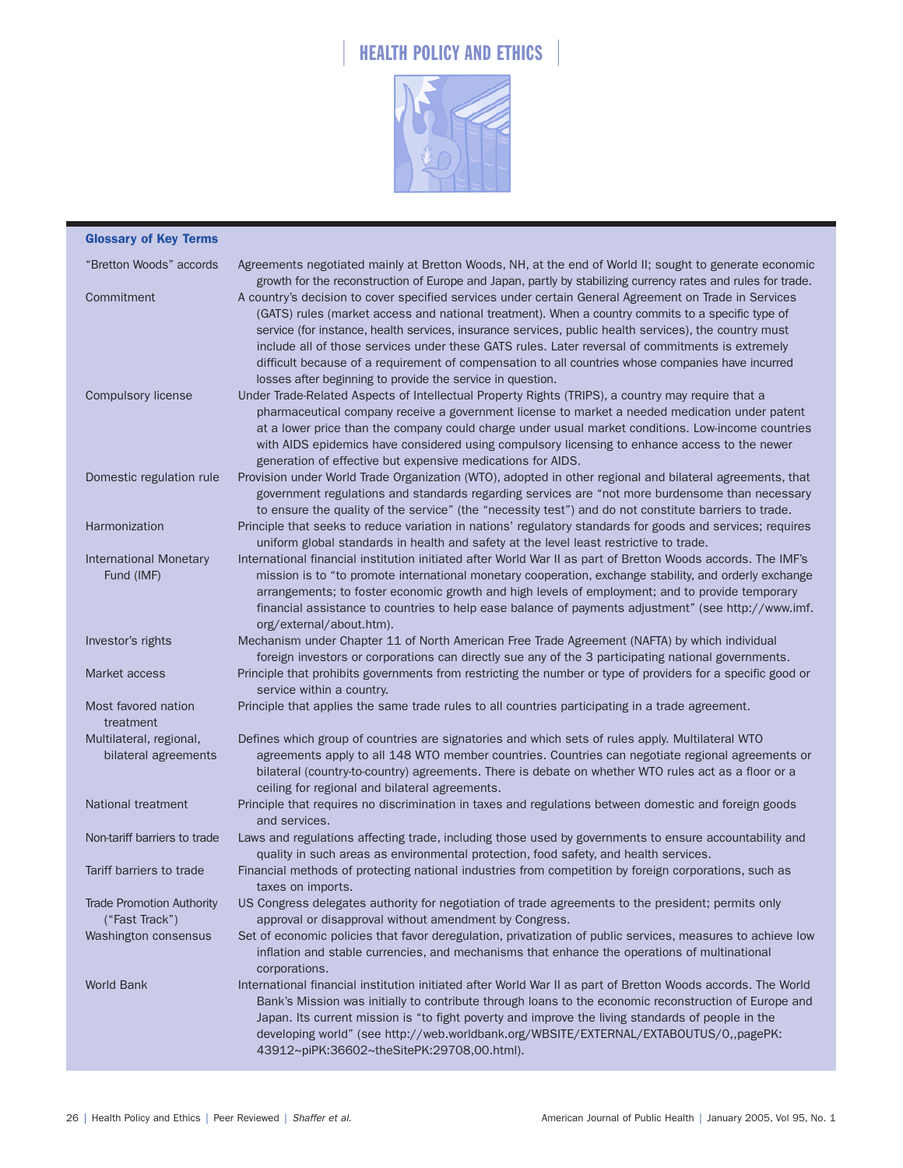

#### Glossary of Key Terms

| "Bretton Woods" accords                            | Agreements negotiated mainly at Bretton Woods, NH, at the end of World II; sought to generate economic<br>growth for the reconstruction of Europe and Japan, partly by stabilizing currency rates and rules for trade.                                                                                                                                                                                                                                                                                                                                                                     |
|----------------------------------------------------|--------------------------------------------------------------------------------------------------------------------------------------------------------------------------------------------------------------------------------------------------------------------------------------------------------------------------------------------------------------------------------------------------------------------------------------------------------------------------------------------------------------------------------------------------------------------------------------------|
| Commitment                                         | A country's decision to cover specified services under certain General Agreement on Trade in Services<br>(GATS) rules (market access and national treatment). When a country commits to a specific type of<br>service (for instance, health services, insurance services, public health services), the country must<br>include all of those services under these GATS rules. Later reversal of commitments is extremely<br>difficult because of a requirement of compensation to all countries whose companies have incurred<br>losses after beginning to provide the service in question. |
| Compulsory license                                 | Under Trade-Related Aspects of Intellectual Property Rights (TRIPS), a country may require that a<br>pharmaceutical company receive a government license to market a needed medication under patent<br>at a lower price than the company could charge under usual market conditions. Low-income countries<br>with AIDS epidemics have considered using compulsory licensing to enhance access to the newer<br>generation of effective but expensive medications for AIDS.                                                                                                                  |
| Domestic regulation rule                           | Provision under World Trade Organization (WTO), adopted in other regional and bilateral agreements, that<br>government regulations and standards regarding services are "not more burdensome than necessary<br>to ensure the quality of the service" (the "necessity test") and do not constitute barriers to trade.                                                                                                                                                                                                                                                                       |
| Harmonization                                      | Principle that seeks to reduce variation in nations' regulatory standards for goods and services; requires<br>uniform global standards in health and safety at the level least restrictive to trade.                                                                                                                                                                                                                                                                                                                                                                                       |
| <b>International Monetary</b><br>Fund (IMF)        | International financial institution initiated after World War II as part of Bretton Woods accords. The IMF's<br>mission is to "to promote international monetary cooperation, exchange stability, and orderly exchange<br>arrangements; to foster economic growth and high levels of employment; and to provide temporary<br>financial assistance to countries to help ease balance of payments adjustment" (see http://www.imf.<br>org/external/about.htm).                                                                                                                               |
| Investor's rights                                  | Mechanism under Chapter 11 of North American Free Trade Agreement (NAFTA) by which individual<br>foreign investors or corporations can directly sue any of the 3 participating national governments.                                                                                                                                                                                                                                                                                                                                                                                       |
| Market access                                      | Principle that prohibits governments from restricting the number or type of providers for a specific good or<br>service within a country.                                                                                                                                                                                                                                                                                                                                                                                                                                                  |
| Most favored nation<br>treatment                   | Principle that applies the same trade rules to all countries participating in a trade agreement.                                                                                                                                                                                                                                                                                                                                                                                                                                                                                           |
| Multilateral, regional,<br>bilateral agreements    | Defines which group of countries are signatories and which sets of rules apply. Multilateral WTO<br>agreements apply to all 148 WTO member countries. Countries can negotiate regional agreements or<br>bilateral (country-to-country) agreements. There is debate on whether WTO rules act as a floor or a<br>ceiling for regional and bilateral agreements.                                                                                                                                                                                                                              |
| National treatment                                 | Principle that requires no discrimination in taxes and regulations between domestic and foreign goods<br>and services.                                                                                                                                                                                                                                                                                                                                                                                                                                                                     |
| Non-tariff barriers to trade                       | Laws and regulations affecting trade, including those used by governments to ensure accountability and<br>quality in such areas as environmental protection, food safety, and health services.                                                                                                                                                                                                                                                                                                                                                                                             |
| Tariff barriers to trade                           | Financial methods of protecting national industries from competition by foreign corporations, such as<br>taxes on imports.                                                                                                                                                                                                                                                                                                                                                                                                                                                                 |
| <b>Trade Promotion Authority</b><br>("Fast Track") | US Congress delegates authority for negotiation of trade agreements to the president; permits only<br>approval or disapproval without amendment by Congress.                                                                                                                                                                                                                                                                                                                                                                                                                               |
| Washington consensus                               | Set of economic policies that favor deregulation, privatization of public services, measures to achieve low<br>inflation and stable currencies, and mechanisms that enhance the operations of multinational<br>corporations.                                                                                                                                                                                                                                                                                                                                                               |
| World Bank                                         | International financial institution initiated after World War II as part of Bretton Woods accords. The World<br>Bank's Mission was initially to contribute through loans to the economic reconstruction of Europe and<br>Japan. Its current mission is "to fight poverty and improve the living standards of people in the<br>developing world" (see http://web.worldbank.org/WBSITE/EXTERNAL/EXTABOUTUS/0,,pagePK:<br>43912~piPK:36602~theSitePK:29708,00.html).                                                                                                                          |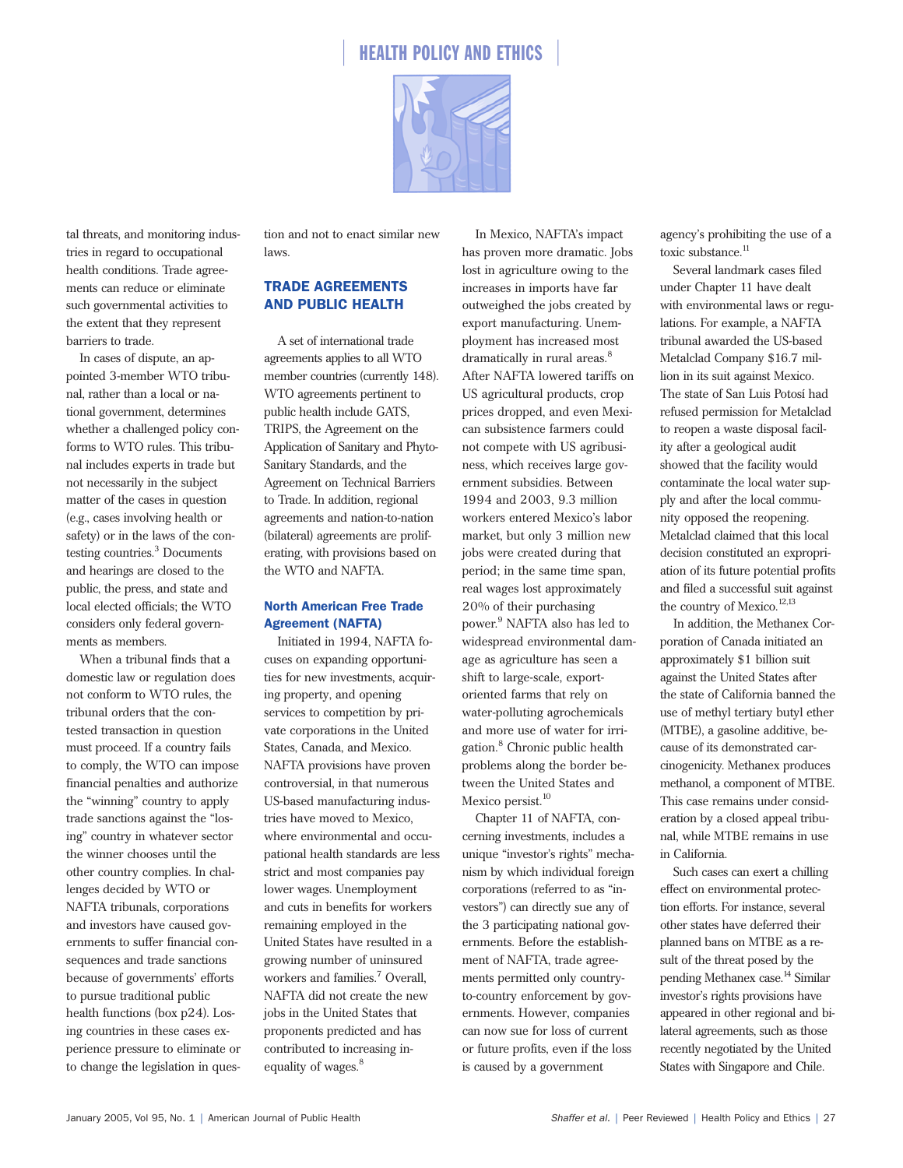

tal threats, and monitoring industries in regard to occupational health conditions. Trade agreements can reduce or eliminate such governmental activities to the extent that they represent barriers to trade.

In cases of dispute, an appointed 3-member WTO tribunal, rather than a local or national government, determines whether a challenged policy conforms to WTO rules. This tribunal includes experts in trade but not necessarily in the subject matter of the cases in question (e.g., cases involving health or safety) or in the laws of the contesting countries.<sup>3</sup> Documents and hearings are closed to the public, the press, and state and local elected officials; the WTO considers only federal governments as members.

When a tribunal finds that a domestic law or regulation does not conform to WTO rules, the tribunal orders that the contested transaction in question must proceed. If a country fails to comply, the WTO can impose financial penalties and authorize the "winning" country to apply trade sanctions against the "losing" country in whatever sector the winner chooses until the other country complies. In challenges decided by WTO or NAFTA tribunals, corporations and investors have caused governments to suffer financial consequences and trade sanctions because of governments' efforts to pursue traditional public health functions (box p24). Losing countries in these cases experience pressure to eliminate or to change the legislation in ques-

tion and not to enact similar new laws.

#### TRADE AGREEMENTS AND PUBLIC HEALTH

A set of international trade agreements applies to all WTO member countries (currently 148). WTO agreements pertinent to public health include GATS, TRIPS, the Agreement on the Application of Sanitary and Phyto-Sanitary Standards, and the Agreement on Technical Barriers to Trade. In addition, regional agreements and nation-to-nation (bilateral) agreements are proliferating, with provisions based on the WTO and NAFTA.

#### North American Free Trade Agreement (NAFTA)

Initiated in 1994, NAFTA focuses on expanding opportunities for new investments, acquiring property, and opening services to competition by private corporations in the United States, Canada, and Mexico. NAFTA provisions have proven controversial, in that numerous US-based manufacturing industries have moved to Mexico, where environmental and occupational health standards are less strict and most companies pay lower wages. Unemployment and cuts in benefits for workers remaining employed in the United States have resulted in a growing number of uninsured workers and families.<sup>7</sup> Overall, NAFTA did not create the new jobs in the United States that proponents predicted and has contributed to increasing inequality of wages.<sup>8</sup>

In Mexico, NAFTA's impact has proven more dramatic. Jobs lost in agriculture owing to the increases in imports have far outweighed the jobs created by export manufacturing. Unemployment has increased most dramatically in rural areas.<sup>8</sup> After NAFTA lowered tariffs on US agricultural products, crop prices dropped, and even Mexican subsistence farmers could not compete with US agribusiness, which receives large government subsidies. Between 1994 and 2003, 9.3 million workers entered Mexico's labor market, but only 3 million new jobs were created during that period; in the same time span, real wages lost approximately 20% of their purchasing power.<sup>9</sup> NAFTA also has led to widespread environmental damage as agriculture has seen a shift to large-scale, exportoriented farms that rely on water-polluting agrochemicals and more use of water for irrigation.<sup>8</sup> Chronic public health problems along the border between the United States and Mexico persist.<sup>10</sup>

Chapter 11 of NAFTA, concerning investments, includes a unique "investor's rights" mechanism by which individual foreign corporations (referred to as "investors") can directly sue any of the 3 participating national governments. Before the establishment of NAFTA, trade agreements permitted only countryto-country enforcement by governments. However, companies can now sue for loss of current or future profits, even if the loss is caused by a government

agency's prohibiting the use of a toxic substance.<sup>11</sup>

Several landmark cases filed under Chapter 11 have dealt with environmental laws or regulations. For example, a NAFTA tribunal awarded the US-based Metalclad Company \$16.7 million in its suit against Mexico. The state of San Luis Potosí had refused permission for Metalclad to reopen a waste disposal facility after a geological audit showed that the facility would contaminate the local water supply and after the local community opposed the reopening. Metalclad claimed that this local decision constituted an expropriation of its future potential profits and filed a successful suit against the country of Mexico.<sup>12,13</sup>

In addition, the Methanex Corporation of Canada initiated an approximately \$1 billion suit against the United States after the state of California banned the use of methyl tertiary butyl ether (MTBE), a gasoline additive, because of its demonstrated carcinogenicity. Methanex produces methanol, a component of MTBE. This case remains under consideration by a closed appeal tribunal, while MTBE remains in use in California.

Such cases can exert a chilling effect on environmental protection efforts. For instance, several other states have deferred their planned bans on MTBE as a result of the threat posed by the pending Methanex case.14 Similar investor's rights provisions have appeared in other regional and bilateral agreements, such as those recently negotiated by the United States with Singapore and Chile.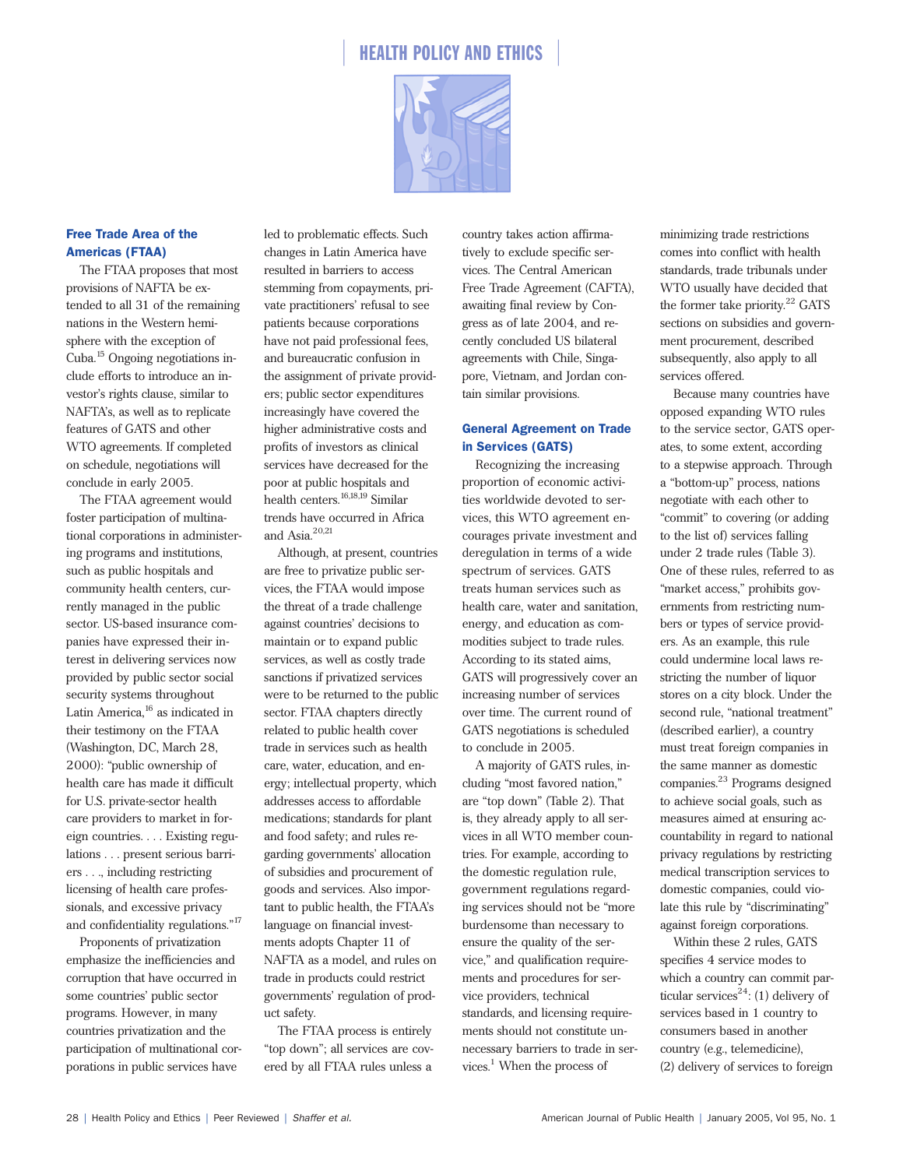

#### Free Trade Area of the Americas (FTAA)

The FTAA proposes that most provisions of NAFTA be extended to all 31 of the remaining nations in the Western hemisphere with the exception of Cuba.15 Ongoing negotiations include efforts to introduce an investor's rights clause, similar to NAFTA's, as well as to replicate features of GATS and other WTO agreements. If completed on schedule, negotiations will conclude in early 2005.

The FTAA agreement would foster participation of multinational corporations in administering programs and institutions, such as public hospitals and community health centers, currently managed in the public sector. US-based insurance companies have expressed their interest in delivering services now provided by public sector social security systems throughout Latin America,<sup>16</sup> as indicated in their testimony on the FTAA (Washington, DC, March 28, 2000): "public ownership of health care has made it difficult for U.S. private-sector health care providers to market in foreign countries. ... Existing regulations . . . present serious barriers . . ., including restricting licensing of health care professionals, and excessive privacy and confidentiality regulations."<sup>17</sup>

Proponents of privatization emphasize the inefficiencies and corruption that have occurred in some countries' public sector programs. However, in many countries privatization and the participation of multinational corporations in public services have

led to problematic effects. Such changes in Latin America have resulted in barriers to access stemming from copayments, private practitioners' refusal to see patients because corporations have not paid professional fees, and bureaucratic confusion in the assignment of private providers; public sector expenditures increasingly have covered the higher administrative costs and profits of investors as clinical services have decreased for the poor at public hospitals and health centers.<sup>16,18,19</sup> Similar trends have occurred in Africa and Asia. $20,21$ 

Although, at present, countries are free to privatize public services, the FTAA would impose the threat of a trade challenge against countries' decisions to maintain or to expand public services, as well as costly trade sanctions if privatized services were to be returned to the public sector. FTAA chapters directly related to public health cover trade in services such as health care, water, education, and energy; intellectual property, which addresses access to affordable medications; standards for plant and food safety; and rules regarding governments' allocation of subsidies and procurement of goods and services. Also important to public health, the FTAA's language on financial investments adopts Chapter 11 of NAFTA as a model, and rules on trade in products could restrict governments' regulation of product safety.

The FTAA process is entirely "top down"; all services are covered by all FTAA rules unless a

country takes action affirmatively to exclude specific services. The Central American Free Trade Agreement (CAFTA), awaiting final review by Congress as of late 2004, and recently concluded US bilateral agreements with Chile, Singapore, Vietnam, and Jordan contain similar provisions.

#### General Agreement on Trade in Services (GATS)

Recognizing the increasing proportion of economic activities worldwide devoted to services, this WTO agreement encourages private investment and deregulation in terms of a wide spectrum of services. GATS treats human services such as health care, water and sanitation, energy, and education as commodities subject to trade rules. According to its stated aims, GATS will progressively cover an increasing number of services over time. The current round of GATS negotiations is scheduled to conclude in 2005.

A majority of GATS rules, including "most favored nation," are "top down" (Table 2). That is, they already apply to all services in all WTO member countries. For example, according to the domestic regulation rule, government regulations regarding services should not be "more burdensome than necessary to ensure the quality of the service," and qualification requirements and procedures for service providers, technical standards, and licensing requirements should not constitute unnecessary barriers to trade in services. $<sup>1</sup>$  When the process of</sup>

minimizing trade restrictions comes into conflict with health standards, trade tribunals under WTO usually have decided that the former take priority. $22$  GATS sections on subsidies and government procurement, described subsequently, also apply to all services offered.

Because many countries have opposed expanding WTO rules to the service sector, GATS operates, to some extent, according to a stepwise approach. Through a "bottom-up" process, nations negotiate with each other to "commit" to covering (or adding to the list of) services falling under 2 trade rules (Table 3). One of these rules, referred to as "market access," prohibits governments from restricting numbers or types of service providers. As an example, this rule could undermine local laws restricting the number of liquor stores on a city block. Under the second rule, "national treatment" (described earlier), a country must treat foreign companies in the same manner as domestic companies.23 Programs designed to achieve social goals, such as measures aimed at ensuring accountability in regard to national privacy regulations by restricting medical transcription services to domestic companies, could violate this rule by "discriminating" against foreign corporations.

Within these 2 rules, GATS specifies 4 service modes to which a country can commit particular services<sup>24</sup>: (1) delivery of services based in 1 country to consumers based in another country (e.g., telemedicine), (2) delivery of services to foreign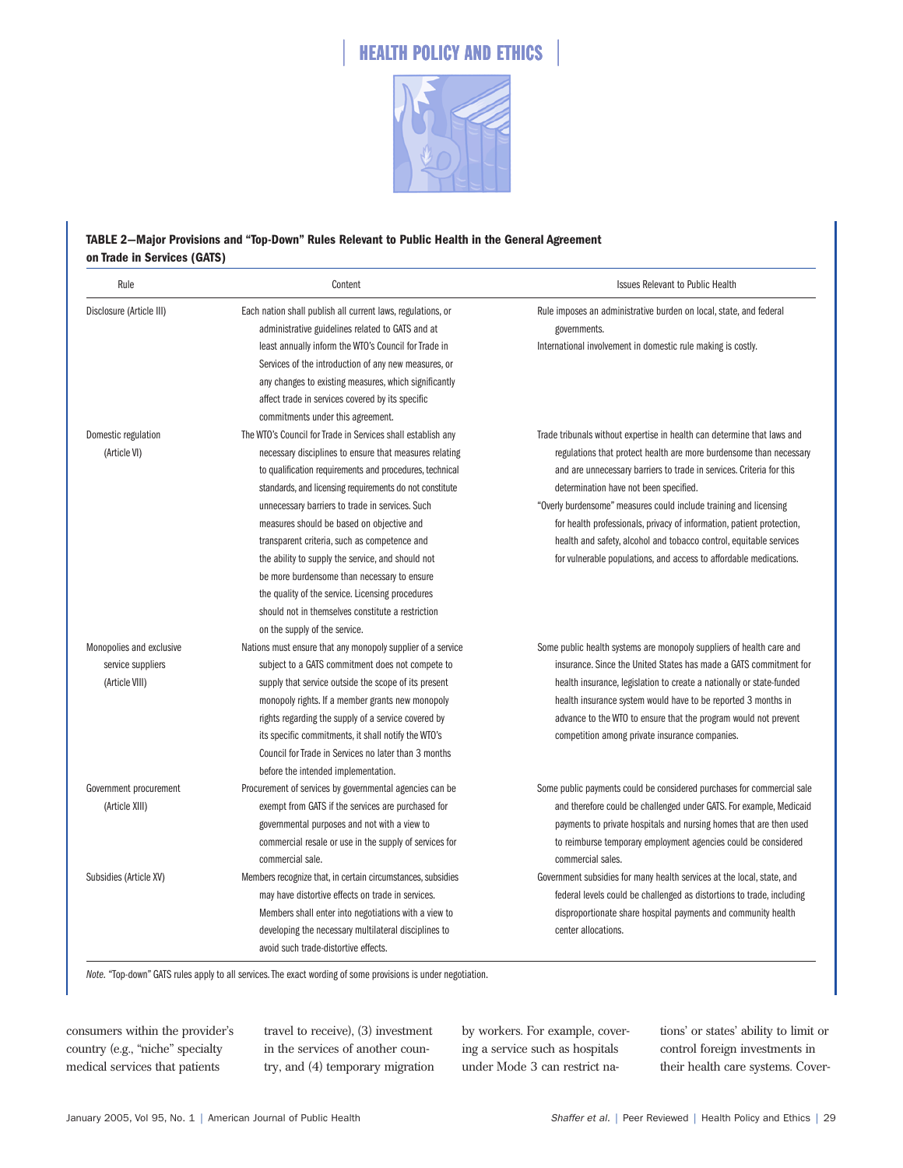

#### **TABLE 2—Major Provisions and "Top-Down" Rules Relevant to Public Health in the General Agreement on Trade in Services (GATS)**

| Rule                                                            | Content                                                                                                                                                                                                                                                                                                                                                                                                                                                                                                                                                                                                                                   | <b>Issues Relevant to Public Health</b>                                                                                                                                                                                                                                                                                                                                                                                                                                                                                                                  |
|-----------------------------------------------------------------|-------------------------------------------------------------------------------------------------------------------------------------------------------------------------------------------------------------------------------------------------------------------------------------------------------------------------------------------------------------------------------------------------------------------------------------------------------------------------------------------------------------------------------------------------------------------------------------------------------------------------------------------|----------------------------------------------------------------------------------------------------------------------------------------------------------------------------------------------------------------------------------------------------------------------------------------------------------------------------------------------------------------------------------------------------------------------------------------------------------------------------------------------------------------------------------------------------------|
| Disclosure (Article III)                                        | Each nation shall publish all current laws, regulations, or<br>administrative guidelines related to GATS and at                                                                                                                                                                                                                                                                                                                                                                                                                                                                                                                           | Rule imposes an administrative burden on local, state, and federal<br>governments.                                                                                                                                                                                                                                                                                                                                                                                                                                                                       |
|                                                                 | least annually inform the WTO's Council for Trade in<br>Services of the introduction of any new measures, or<br>any changes to existing measures, which significantly<br>affect trade in services covered by its specific<br>commitments under this agreement.                                                                                                                                                                                                                                                                                                                                                                            | International involvement in domestic rule making is costly.                                                                                                                                                                                                                                                                                                                                                                                                                                                                                             |
| Domestic regulation<br>(Article VI)                             | The WTO's Council for Trade in Services shall establish any<br>necessary disciplines to ensure that measures relating<br>to qualification requirements and procedures, technical<br>standards, and licensing requirements do not constitute<br>unnecessary barriers to trade in services. Such<br>measures should be based on objective and<br>transparent criteria, such as competence and<br>the ability to supply the service, and should not<br>be more burdensome than necessary to ensure<br>the quality of the service. Licensing procedures<br>should not in themselves constitute a restriction<br>on the supply of the service. | Trade tribunals without expertise in health can determine that laws and<br>regulations that protect health are more burdensome than necessary<br>and are unnecessary barriers to trade in services. Criteria for this<br>determination have not been specified.<br>"Overly burdensome" measures could include training and licensing<br>for health professionals, privacy of information, patient protection,<br>health and safety, alcohol and tobacco control, equitable services<br>for vulnerable populations, and access to affordable medications. |
| Monopolies and exclusive<br>service suppliers<br>(Article VIII) | Nations must ensure that any monopoly supplier of a service<br>subject to a GATS commitment does not compete to<br>supply that service outside the scope of its present<br>monopoly rights. If a member grants new monopoly<br>rights regarding the supply of a service covered by<br>its specific commitments, it shall notify the WTO's<br>Council for Trade in Services no later than 3 months<br>before the intended implementation.                                                                                                                                                                                                  | Some public health systems are monopoly suppliers of health care and<br>insurance. Since the United States has made a GATS commitment for<br>health insurance, legislation to create a nationally or state-funded<br>health insurance system would have to be reported 3 months in<br>advance to the WTO to ensure that the program would not prevent<br>competition among private insurance companies.                                                                                                                                                  |
| Government procurement<br>(Article XIII)                        | Procurement of services by governmental agencies can be<br>exempt from GATS if the services are purchased for<br>governmental purposes and not with a view to<br>commercial resale or use in the supply of services for<br>commercial sale.                                                                                                                                                                                                                                                                                                                                                                                               | Some public payments could be considered purchases for commercial sale<br>and therefore could be challenged under GATS. For example, Medicaid<br>payments to private hospitals and nursing homes that are then used<br>to reimburse temporary employment agencies could be considered<br>commercial sales.                                                                                                                                                                                                                                               |
| Subsidies (Article XV)                                          | Members recognize that, in certain circumstances, subsidies<br>may have distortive effects on trade in services.<br>Members shall enter into negotiations with a view to<br>developing the necessary multilateral disciplines to<br>avoid such trade-distortive effects.                                                                                                                                                                                                                                                                                                                                                                  | Government subsidies for many health services at the local, state, and<br>federal levels could be challenged as distortions to trade, including<br>disproportionate share hospital payments and community health<br>center allocations.                                                                                                                                                                                                                                                                                                                  |

*Note.* "Top-down" GATS rules apply to all services. The exact wording of some provisions is under negotiation.

consumers within the provider's country (e.g., "niche" specialty medical services that patients

travel to receive), (3) investment in the services of another country, and (4) temporary migration

by workers. For example, covering a service such as hospitals under Mode 3 can restrict nations' or states' ability to limit or control foreign investments in their health care systems. Cover-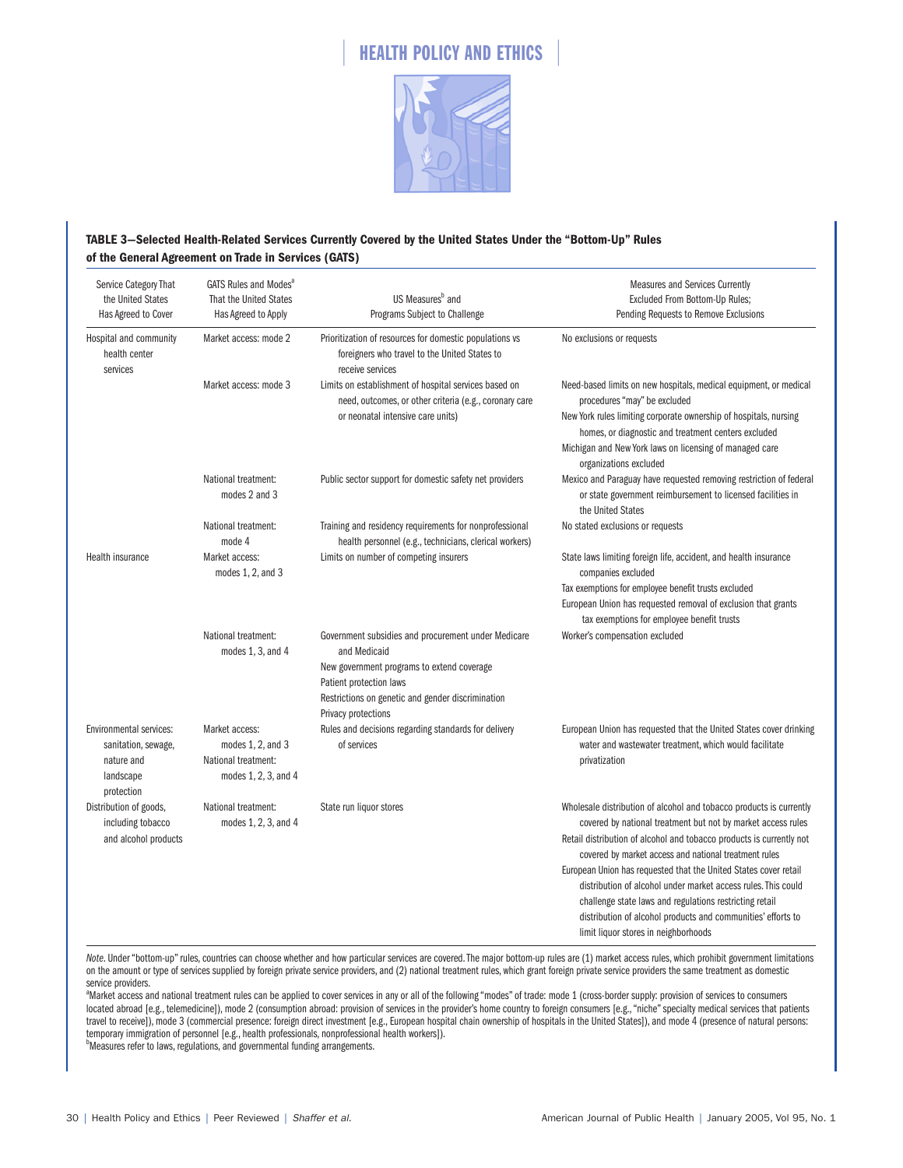

#### **TABLE 3—Selected Health-Related Services Currently Covered by the United States Under the "Bottom-Up" Rules of the General Agreement on Trade in Services (GATS)**

| Service Category That<br>the United States<br>Has Agreed to Cover                       | GATS Rules and Modes <sup>a</sup><br>That the United States<br>Has Agreed to Apply      | US Measures <sup>b</sup> and<br>Programs Subject to Challenge                                                                                                                                                            | <b>Measures and Services Currently</b><br>Excluded From Bottom-Up Rules;<br>Pending Requests to Remove Exclusions                                                                                                                                                                                                                                                                                                                                                                                                                                                            |
|-----------------------------------------------------------------------------------------|-----------------------------------------------------------------------------------------|--------------------------------------------------------------------------------------------------------------------------------------------------------------------------------------------------------------------------|------------------------------------------------------------------------------------------------------------------------------------------------------------------------------------------------------------------------------------------------------------------------------------------------------------------------------------------------------------------------------------------------------------------------------------------------------------------------------------------------------------------------------------------------------------------------------|
| Hospital and community<br>health center<br>services                                     | Market access: mode 2                                                                   | Prioritization of resources for domestic populations vs<br>foreigners who travel to the United States to<br>receive services                                                                                             | No exclusions or requests                                                                                                                                                                                                                                                                                                                                                                                                                                                                                                                                                    |
|                                                                                         | Market access: mode 3                                                                   | Limits on establishment of hospital services based on<br>need, outcomes, or other criteria (e.g., coronary care<br>or neonatal intensive care units)                                                                     | Need-based limits on new hospitals, medical equipment, or medical<br>procedures "may" be excluded<br>New York rules limiting corporate ownership of hospitals, nursing<br>homes, or diagnostic and treatment centers excluded<br>Michigan and New York laws on licensing of managed care<br>organizations excluded                                                                                                                                                                                                                                                           |
|                                                                                         | National treatment:<br>modes 2 and 3                                                    | Public sector support for domestic safety net providers                                                                                                                                                                  | Mexico and Paraguay have requested removing restriction of federal<br>or state government reimbursement to licensed facilities in<br>the United States                                                                                                                                                                                                                                                                                                                                                                                                                       |
|                                                                                         | National treatment:<br>mode 4                                                           | Training and residency requirements for nonprofessional<br>health personnel (e.g., technicians, clerical workers)                                                                                                        | No stated exclusions or requests                                                                                                                                                                                                                                                                                                                                                                                                                                                                                                                                             |
| Health insurance                                                                        | Market access:<br>modes 1, 2, and 3                                                     | Limits on number of competing insurers                                                                                                                                                                                   | State laws limiting foreign life, accident, and health insurance<br>companies excluded<br>Tax exemptions for employee benefit trusts excluded<br>European Union has requested removal of exclusion that grants<br>tax exemptions for employee benefit trusts                                                                                                                                                                                                                                                                                                                 |
|                                                                                         | National treatment:<br>modes $1, 3$ , and $4$                                           | Government subsidies and procurement under Medicare<br>and Medicaid<br>New government programs to extend coverage<br>Patient protection laws<br>Restrictions on genetic and gender discrimination<br>Privacy protections | Worker's compensation excluded                                                                                                                                                                                                                                                                                                                                                                                                                                                                                                                                               |
| Environmental services:<br>sanitation, sewage,<br>nature and<br>landscape<br>protection | Market access:<br>modes $1, 2$ , and $3$<br>National treatment:<br>modes 1, 2, 3, and 4 | Rules and decisions regarding standards for delivery<br>of services                                                                                                                                                      | European Union has requested that the United States cover drinking<br>water and wastewater treatment, which would facilitate<br>privatization                                                                                                                                                                                                                                                                                                                                                                                                                                |
| Distribution of goods,<br>including tobacco<br>and alcohol products                     | National treatment:<br>modes 1, 2, 3, and 4                                             | State run liquor stores                                                                                                                                                                                                  | Wholesale distribution of alcohol and tobacco products is currently<br>covered by national treatment but not by market access rules<br>Retail distribution of alcohol and tobacco products is currently not<br>covered by market access and national treatment rules<br>European Union has requested that the United States cover retail<br>distribution of alcohol under market access rules. This could<br>challenge state laws and regulations restricting retail<br>distribution of alcohol products and communities' efforts to<br>limit liquor stores in neighborhoods |

*Note*. Under "bottom-up" rules, countries can choose whether and how particular services are covered. The major bottom-up rules are (1) market access rules, which prohibit government limitations on the amount or type of services supplied by foreign private service providers, and (2) national treatment rules, which grant foreign private service providers the same treatment as domestic service providers.

<sup>a</sup>Market access and national treatment rules can be applied to cover services in any or all of the following "modes" of trade: mode 1 (cross-border supply: provision of services to consumers located abroad [e.g., telemedicine]), mode 2 (consumption abroad: provision of services in the provider's home country to foreign consumers [e.g., "niche" specialty medical services that patients travel to receive]), mode 3 (commercial presence: foreign direct investment [e.g., European hospital chain ownership of hospitals in the United States]), and mode 4 (presence of natural persons: temporary immigration of personnel [e.g., health professionals, nonprofessional health workers]).

<sup>b</sup>Measures refer to laws, regulations, and governmental funding arrangements.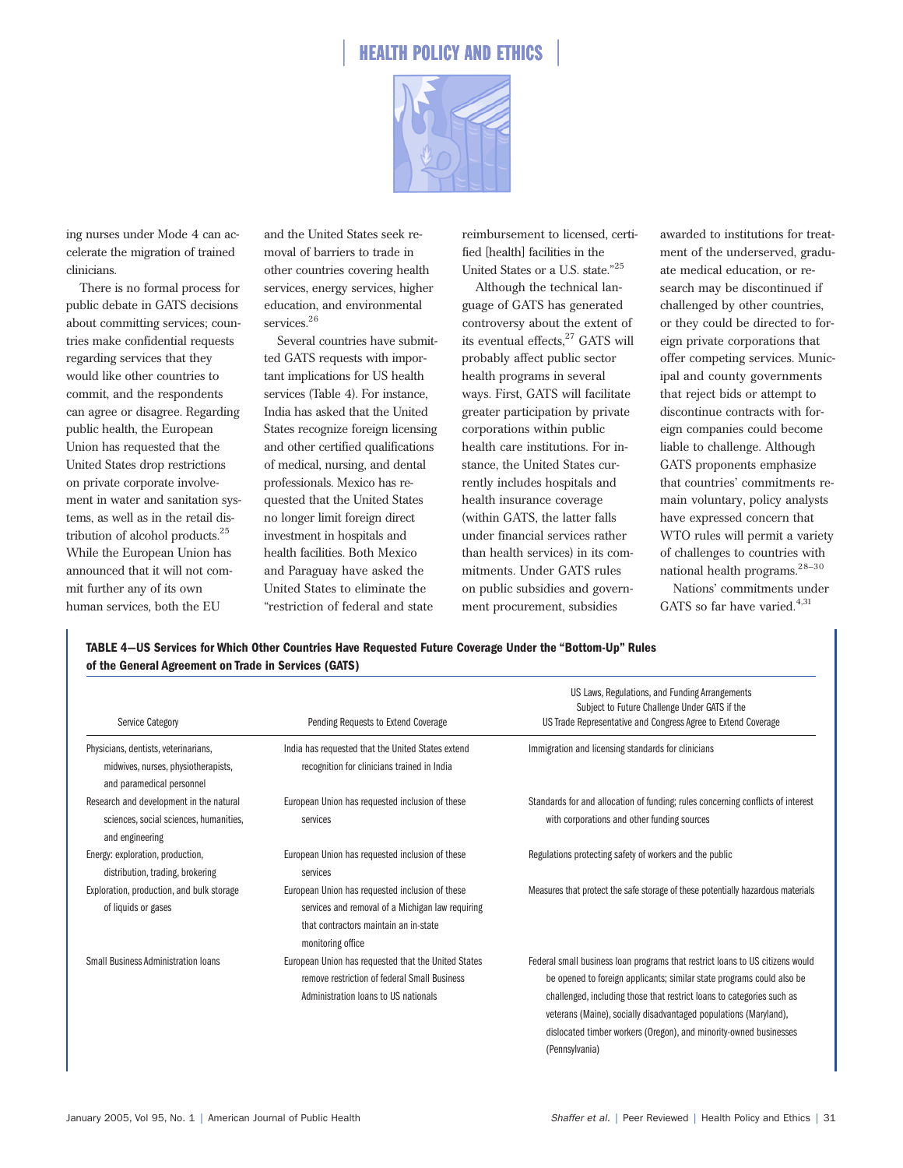



ing nurses under Mode 4 can accelerate the migration of trained clinicians.

There is no formal process for public debate in GATS decisions about committing services; countries make confidential requests regarding services that they would like other countries to commit, and the respondents can agree or disagree. Regarding public health, the European Union has requested that the United States drop restrictions on private corporate involvement in water and sanitation systems, as well as in the retail distribution of alcohol products.<sup>25</sup> While the European Union has announced that it will not commit further any of its own human services, both the EU

and the United States seek removal of barriers to trade in other countries covering health services, energy services, higher education, and environmental services.<sup>26</sup>

Several countries have submitted GATS requests with important implications for US health services (Table 4). For instance, India has asked that the United States recognize foreign licensing and other certified qualifications of medical, nursing, and dental professionals. Mexico has requested that the United States no longer limit foreign direct investment in hospitals and health facilities. Both Mexico and Paraguay have asked the United States to eliminate the "restriction of federal and state

reimbursement to licensed, certified [health] facilities in the United States or a U.S. state."<sup>25</sup>

Although the technical language of GATS has generated controversy about the extent of its eventual effects,<sup>27</sup> GATS will probably affect public sector health programs in several ways. First, GATS will facilitate greater participation by private corporations within public health care institutions. For instance, the United States currently includes hospitals and health insurance coverage (within GATS, the latter falls under financial services rather than health services) in its commitments. Under GATS rules on public subsidies and government procurement, subsidies

awarded to institutions for treatment of the underserved, graduate medical education, or research may be discontinued if challenged by other countries, or they could be directed to foreign private corporations that offer competing services. Municipal and county governments that reject bids or attempt to discontinue contracts with foreign companies could become liable to challenge. Although GATS proponents emphasize that countries' commitments remain voluntary, policy analysts have expressed concern that WTO rules will permit a variety of challenges to countries with national health programs.28–30

Nations' commitments under GATS so far have varied.<sup>4,31</sup>

**TABLE 4—US Services for Which Other Countries Have Requested Future Coverage Under the "Bottom-Up" Rules of the General Agreement on Trade in Services (GATS)**

| <b>Service Category</b>                                                                                  | Pending Requests to Extend Coverage                                                                                                                               | US Laws, Regulations, and Funding Arrangements<br>Subject to Future Challenge Under GATS if the<br>US Trade Representative and Congress Agree to Extend Coverage                                                                                                                                                                                                                           |
|----------------------------------------------------------------------------------------------------------|-------------------------------------------------------------------------------------------------------------------------------------------------------------------|--------------------------------------------------------------------------------------------------------------------------------------------------------------------------------------------------------------------------------------------------------------------------------------------------------------------------------------------------------------------------------------------|
| Physicians, dentists, veterinarians,<br>midwives, nurses, physiotherapists,<br>and paramedical personnel | India has requested that the United States extend<br>recognition for clinicians trained in India                                                                  | Immigration and licensing standards for clinicians                                                                                                                                                                                                                                                                                                                                         |
| Research and development in the natural<br>sciences, social sciences, humanities,<br>and engineering     | European Union has requested inclusion of these<br>services                                                                                                       | Standards for and allocation of funding; rules concerning conflicts of interest<br>with corporations and other funding sources                                                                                                                                                                                                                                                             |
| Energy: exploration, production,<br>distribution, trading, brokering                                     | European Union has requested inclusion of these<br>services                                                                                                       | Regulations protecting safety of workers and the public                                                                                                                                                                                                                                                                                                                                    |
| Exploration, production, and bulk storage<br>of liquids or gases                                         | European Union has requested inclusion of these<br>services and removal of a Michigan law requiring<br>that contractors maintain an in-state<br>monitoring office | Measures that protect the safe storage of these potentially hazardous materials                                                                                                                                                                                                                                                                                                            |
| <b>Small Business Administration loans</b>                                                               | European Union has requested that the United States<br>remove restriction of federal Small Business<br>Administration loans to US nationals                       | Federal small business loan programs that restrict loans to US citizens would<br>be opened to foreign applicants; similar state programs could also be<br>challenged, including those that restrict loans to categories such as<br>veterans (Maine), socially disadvantaged populations (Maryland),<br>dislocated timber workers (Oregon), and minority-owned businesses<br>(Pennsylvania) |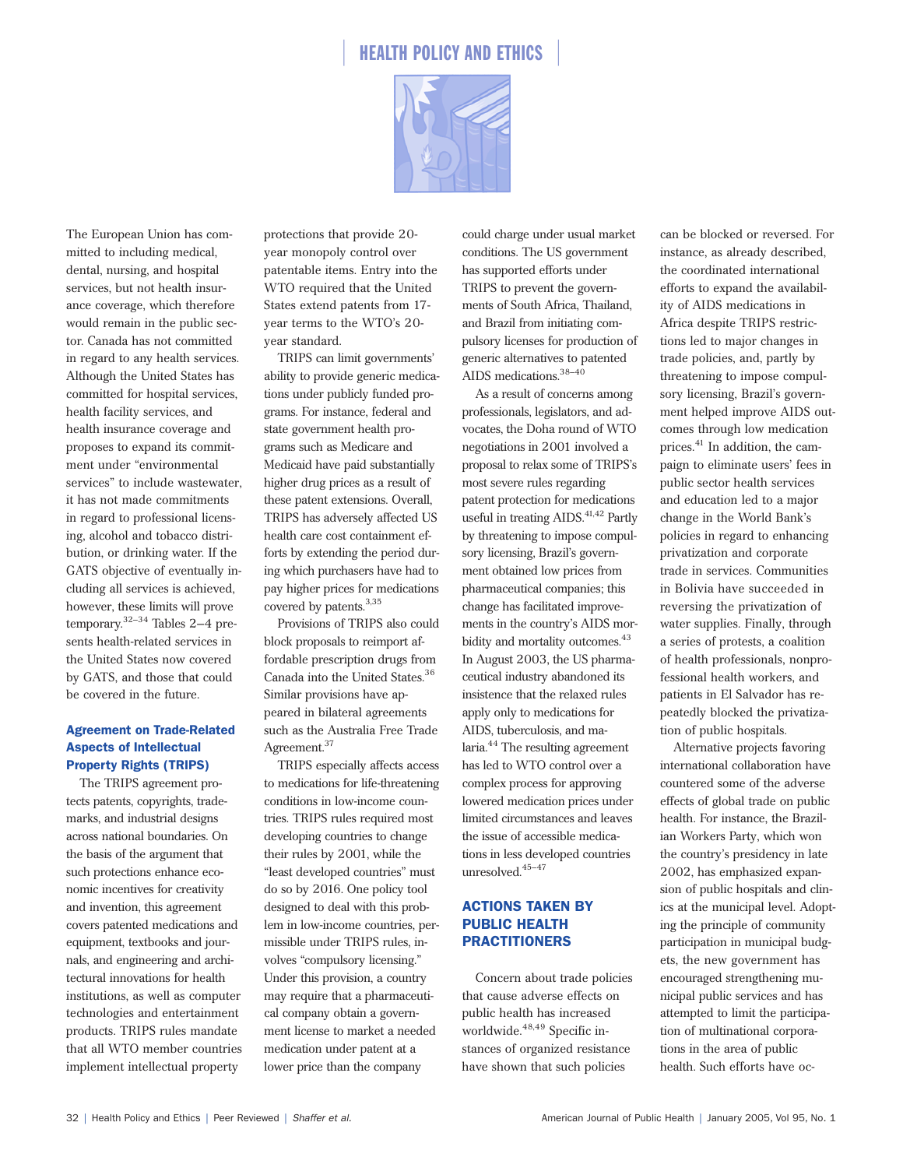

The European Union has committed to including medical, dental, nursing, and hospital services, but not health insurance coverage, which therefore would remain in the public sector. Canada has not committed in regard to any health services. Although the United States has committed for hospital services, health facility services, and health insurance coverage and proposes to expand its commitment under "environmental services" to include wastewater, it has not made commitments in regard to professional licensing, alcohol and tobacco distribution, or drinking water. If the GATS objective of eventually including all services is achieved, however, these limits will prove temporary.32–34 Tables 2–4 presents health-related services in the United States now covered by GATS, and those that could be covered in the future.

#### Agreement on Trade-Related Aspects of Intellectual Property Rights (TRIPS)

The TRIPS agreement protects patents, copyrights, trademarks, and industrial designs across national boundaries. On the basis of the argument that such protections enhance economic incentives for creativity and invention, this agreement covers patented medications and equipment, textbooks and journals, and engineering and architectural innovations for health institutions, as well as computer technologies and entertainment products. TRIPS rules mandate that all WTO member countries implement intellectual property

protections that provide 20 year monopoly control over patentable items. Entry into the WTO required that the United States extend patents from 17 year terms to the WTO's 20 year standard.

TRIPS can limit governments' ability to provide generic medications under publicly funded programs. For instance, federal and state government health programs such as Medicare and Medicaid have paid substantially higher drug prices as a result of these patent extensions. Overall, TRIPS has adversely affected US health care cost containment efforts by extending the period during which purchasers have had to pay higher prices for medications covered by patents.<sup>3,35</sup>

Provisions of TRIPS also could block proposals to reimport affordable prescription drugs from Canada into the United States.<sup>36</sup> Similar provisions have appeared in bilateral agreements such as the Australia Free Trade Agreement.<sup>37</sup>

TRIPS especially affects access to medications for life-threatening conditions in low-income countries. TRIPS rules required most developing countries to change their rules by 2001, while the "least developed countries" must do so by 2016. One policy tool designed to deal with this problem in low-income countries, permissible under TRIPS rules, involves "compulsory licensing." Under this provision, a country may require that a pharmaceutical company obtain a government license to market a needed medication under patent at a lower price than the company

could charge under usual market conditions. The US government has supported efforts under TRIPS to prevent the governments of South Africa, Thailand, and Brazil from initiating compulsory licenses for production of generic alternatives to patented AIDS medications.38–40

As a result of concerns among professionals, legislators, and advocates, the Doha round of WTO negotiations in 2001 involved a proposal to relax some of TRIPS's most severe rules regarding patent protection for medications useful in treating  $AIDS$ .<sup>41,42</sup> Partly by threatening to impose compulsory licensing, Brazil's government obtained low prices from pharmaceutical companies; this change has facilitated improvements in the country's AIDS morbidity and mortality outcomes.<sup>43</sup> In August 2003, the US pharmaceutical industry abandoned its insistence that the relaxed rules apply only to medications for AIDS, tuberculosis, and malaria.44 The resulting agreement has led to WTO control over a complex process for approving lowered medication prices under limited circumstances and leaves the issue of accessible medications in less developed countries unresolved.45–47

#### ACTIONS TAKEN BY PUBLIC HEALTH PRACTITIONERS

Concern about trade policies that cause adverse effects on public health has increased worldwide.48,49 Specific instances of organized resistance have shown that such policies

can be blocked or reversed. For instance, as already described, the coordinated international efforts to expand the availability of AIDS medications in Africa despite TRIPS restrictions led to major changes in trade policies, and, partly by threatening to impose compulsory licensing, Brazil's government helped improve AIDS outcomes through low medication prices.<sup>41</sup> In addition, the campaign to eliminate users' fees in public sector health services and education led to a major change in the World Bank's policies in regard to enhancing privatization and corporate trade in services. Communities in Bolivia have succeeded in reversing the privatization of water supplies. Finally, through a series of protests, a coalition of health professionals, nonprofessional health workers, and patients in El Salvador has repeatedly blocked the privatization of public hospitals.

Alternative projects favoring international collaboration have countered some of the adverse effects of global trade on public health. For instance, the Brazilian Workers Party, which won the country's presidency in late 2002, has emphasized expansion of public hospitals and clinics at the municipal level. Adopting the principle of community participation in municipal budgets, the new government has encouraged strengthening municipal public services and has attempted to limit the participation of multinational corporations in the area of public health. Such efforts have oc-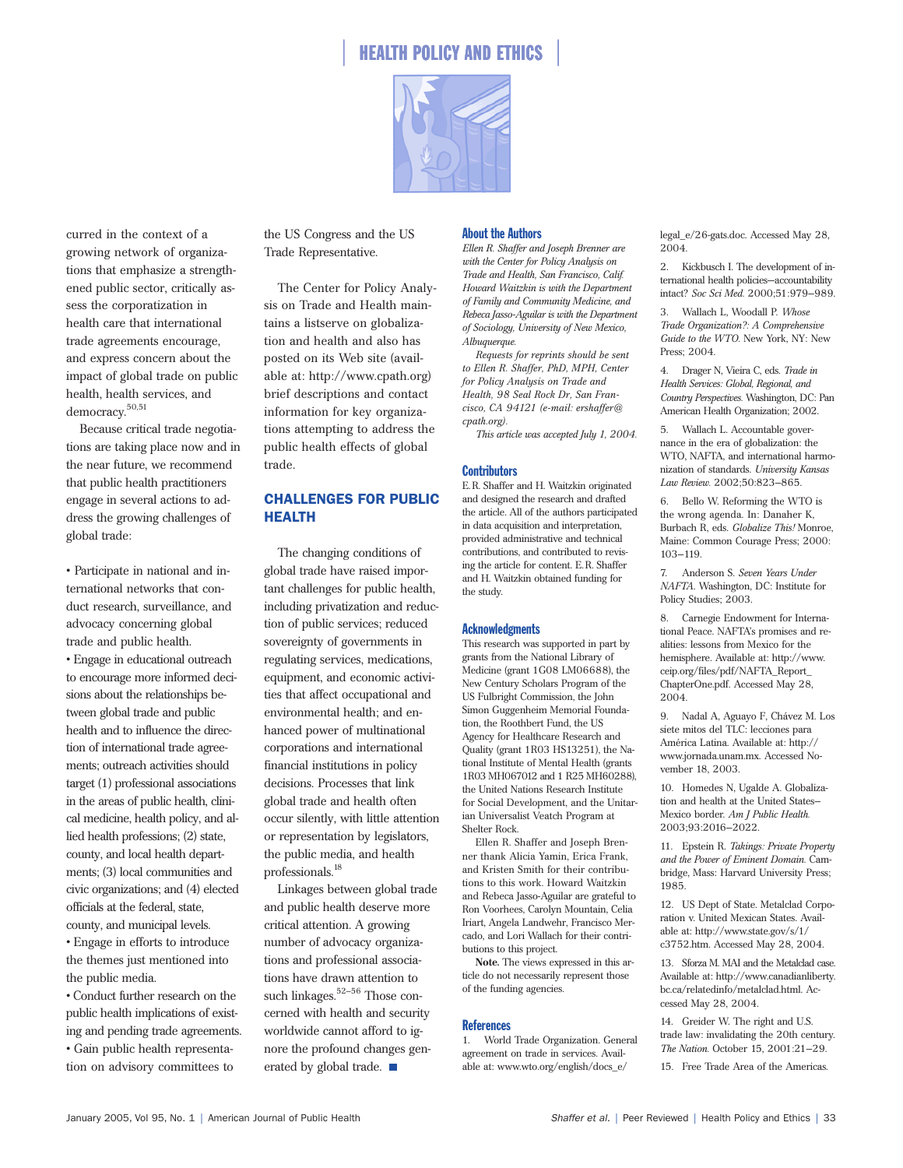

curred in the context of a growing network of organizations that emphasize a strengthened public sector, critically assess the corporatization in health care that international trade agreements encourage, and express concern about the impact of global trade on public health, health services, and democracy.50,51

Because critical trade negotiations are taking place now and in the near future, we recommend that public health practitioners engage in several actions to address the growing challenges of global trade:

• Participate in national and international networks that conduct research, surveillance, and advocacy concerning global trade and public health. • Engage in educational outreach to encourage more informed decisions about the relationships between global trade and public health and to influence the direction of international trade agreements; outreach activities should target (1) professional associations in the areas of public health, clinical medicine, health policy, and allied health professions; (2) state, county, and local health departments; (3) local communities and civic organizations; and (4) elected officials at the federal, state, county, and municipal levels.

• Engage in efforts to introduce the themes just mentioned into the public media.

• Conduct further research on the public health implications of existing and pending trade agreements. • Gain public health representation on advisory committees to

the US Congress and the US Trade Representative.

The Center for Policy Analysis on Trade and Health maintains a listserve on globalization and health and also has posted on its Web site (available at: http://www.cpath.org) brief descriptions and contact information for key organizations attempting to address the public health effects of global trade.

#### CHALLENGES FOR PUBLIC HEALTH

The changing conditions of global trade have raised important challenges for public health, including privatization and reduction of public services; reduced sovereignty of governments in regulating services, medications, equipment, and economic activities that affect occupational and environmental health; and enhanced power of multinational corporations and international financial institutions in policy decisions. Processes that link global trade and health often occur silently, with little attention or representation by legislators, the public media, and health professionals.<sup>18</sup>

Linkages between global trade and public health deserve more critical attention. A growing number of advocacy organizations and professional associations have drawn attention to such linkages. $52-56$  Those concerned with health and security worldwide cannot afford to ignore the profound changes generated by global trade.  $\blacksquare$ 

#### About the Authors

*Ellen R. Shaffer and Joseph Brenner are with the Center for Policy Analysis on Trade and Health, San Francisco, Calif. Howard Waitzkin is with the Department of Family and Community Medicine, and Rebeca Jasso-Aguilar is with the Department of Sociology, University of New Mexico, Albuquerque.*

*Requests for reprints should be sent to Ellen R. Shaffer, PhD, MPH, Center for Policy Analysis on Trade and Health, 98 Seal Rock Dr, San Francisco, CA 94121 (e-mail: ershaffer@ cpath.org).*

*This article was accepted July 1, 2004.*

#### **Contributors**

E.R. Shaffer and H. Waitzkin originated and designed the research and drafted the article. All of the authors participated in data acquisition and interpretation, provided administrative and technical contributions, and contributed to revising the article for content. E.R. Shaffer and H. Waitzkin obtained funding for the study.

#### **Acknowledgments**

This research was supported in part by grants from the National Library of Medicine (grant 1G08 LM06688), the New Century Scholars Program of the US Fulbright Commission, the John Simon Guggenheim Memorial Foundation, the Roothbert Fund, the US Agency for Healthcare Research and Quality (grant 1R03 HS13251), the National Institute of Mental Health (grants 1R03 MH067012 and 1 R25 MH60288), the United Nations Research Institute for Social Development, and the Unitarian Universalist Veatch Program at Shelter Rock.

Ellen R. Shaffer and Joseph Brenner thank Alicia Yamin, Erica Frank, and Kristen Smith for their contributions to this work. Howard Waitzkin and Rebeca Jasso-Aguilar are grateful to Ron Voorhees, Carolyn Mountain, Celia Iriart, Angela Landwehr, Francisco Mercado, and Lori Wallach for their contributions to this project.

**Note.** The views expressed in this article do not necessarily represent those of the funding agencies.

#### **References**

1. World Trade Organization. General agreement on trade in services. Available at: www.wto.org/english/docs\_e/

legal\_e/26-gats.doc. Accessed May 28, 2004.

2. Kickbusch I. The development of international health policies—accountability intact? *Soc Sci Med.* 2000;51:979–989.

3. Wallach L, Woodall P. *Whose Trade Organization?: A Comprehensive Guide to the WTO.* New York, NY: New Press; 2004.

4. Drager N, Vieira C, eds. *Trade in Health Services: Global, Regional, and Country Perspectives.* Washington, DC: Pan American Health Organization; 2002.

5. Wallach L. Accountable governance in the era of globalization: the WTO, NAFTA, and international harmonization of standards. *University Kansas Law Review.* 2002;50:823–865.

6. Bello W. Reforming the WTO is the wrong agenda. In: Danaher K, Burbach R, eds. *Globalize This!* Monroe, Maine: Common Courage Press; 2000: 103–119.

7. Anderson S. *Seven Years Under NAFTA*. Washington, DC: Institute for Policy Studies; 2003.

8. Carnegie Endowment for International Peace. NAFTA's promises and realities: lessons from Mexico for the hemisphere. Available at: http://www. ceip.org/files/pdf/NAFTA\_Report\_ ChapterOne.pdf. Accessed May 28, 2004.

9. Nadal A, Aguayo F, Chávez M. Los siete mitos del TLC: lecciones para América Latina. Available at: http:// www.jornada.unam.mx. Accessed November 18, 2003.

10. Homedes N, Ugalde A. Globalization and health at the United States– Mexico border. *Am J Public Health.* 2003;93:2016–2022.

11. Epstein R. *Takings: Private Property and the Power of Eminent Domain.* Cambridge, Mass: Harvard University Press; 1985.

12. US Dept of State. Metalclad Corporation v. United Mexican States. Available at: http://www.state.gov/s/1/ c3752.htm. Accessed May 28, 2004.

13. Sforza M. MAI and the Metalclad case. Available at: http://www.canadianliberty. bc.ca/relatedinfo/metalclad.html. Accessed May 28, 2004.

14. Greider W. The right and U.S. trade law: invalidating the 20th century. *The Nation.* October 15, 2001:21–29.

15. Free Trade Area of the Americas.